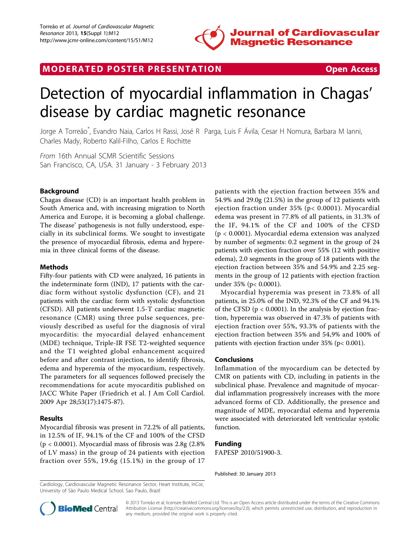

## MODERATED POSTER PRESENTATION **SECURE 20 SET ACCESS**

# Detection of myocardial inflammation in Chagas' disease by cardiac magnetic resonance

Jorge A Torreão\* , Evandro Naia, Carlos H Rassi, José R Parga, Luis F Ávila, Cesar H Nomura, Barbara M Ianni, Charles Mady, Roberto Kalil-Filho, Carlos E Rochitte

From 16th Annual SCMR Scientific Sessions San Francisco, CA, USA. 31 January - 3 February 2013

### Background

Chagas disease (CD) is an important health problem in South America and, with increasing migration to North America and Europe, it is becoming a global challenge. The disease' pathogenesis is not fully understood, especially in its subclinical forms. We sought to investigate the presence of myocardial fibrosis, edema and hyperemia in three clinical forms of the disease.

#### Methods

Fifty-four patients with CD were analyzed, 16 patients in the indeterminate form (IND), 17 patients with the cardiac form without systolic dysfunction (CF), and 21 patients with the cardiac form with systolic dysfunction (CFSD). All patients underwent 1.5-T cardiac magnetic resonance (CMR) using three pulse sequences, previously described as useful for the diagnosis of viral myocarditis: the myocardial delayed enhancement (MDE) technique, Triple-IR FSE T2-weighted sequence and the T1 weighted global enhancement acquired before and after contrast injection, to identify fibrosis, edema and hyperemia of the myocardium, respectively. The parameters for all sequences followed precisely the recommendations for acute myocarditis published on JACC White Paper (Friedrich et al. J Am Coll Cardiol. 2009 Apr 28;53(17):1475-87).

#### Results

Myocardial fibrosis was present in 72.2% of all patients, in 12.5% of IF, 94.1% of the CF and 100% of the CFSD (p < 0.0001). Myocardial mass of fibrosis was 2.8g (2.8% of LV mass) in the group of 24 patients with ejection fraction over 55%, 19.6g (15.1%) in the group of 17 patients with the ejection fraction between 35% and 54.9% and 29.0g (21.5%) in the group of 12 patients with ejection fraction under 35% (p< 0.0001). Myocardial edema was present in 77.8% of all patients, in 31.3% of the IF, 94.1% of the CF and 100% of the CFSD (p < 0.0001). Myocardial edema extension was analyzed by number of segments: 0.2 segment in the group of 24 patients with ejection fraction over 55% (12 with positive edema), 2.0 segments in the group of 18 patients with the ejection fraction between 35% and 54.9% and 2.25 segments in the group of 12 patients with ejection fraction under 35% (p< 0.0001).

Myocardial hyperemia was present in 73.8% of all patients, in 25.0% of the IND, 92.3% of the CF and 94.1% of the CFSD (p < 0.0001). In the analysis by ejection fraction, hyperemia was observed in 47.3% of patients with ejection fraction over 55%, 93.3% of patients with the ejection fraction between 35% and 54,9% and 100% of patients with ejection fraction under 35% (p< 0.001).

#### Conclusions

Inflammation of the myocardium can be detected by CMR on patients with CD, including in patients in the subclinical phase. Prevalence and magnitude of myocardial inflammation progressively increases with the more advanced forms of CD. Additionally, the presence and magnitude of MDE, myocardial edema and hyperemia were associated with deteriorated left ventricular systolic function.

#### Funding

FAPESP 2010/51900-3.

Published: 30 January 2013

Cardiology, Cardiovascular Magnetic Resonance Sector, Heart Institute, InCor, University of São Paulo Medical School, Sao Paulo, Brazil



© 2013 Torreão et al; licensee BioMed Central Ltd. This is an Open Access article distributed under the terms of the Creative Commons Attribution License [\(http://creativecommons.org/licenses/by/2.0](http://creativecommons.org/licenses/by/2.0)), which permits unrestricted use, distribution, and reproduction in any medium, provided the original work is properly cited.